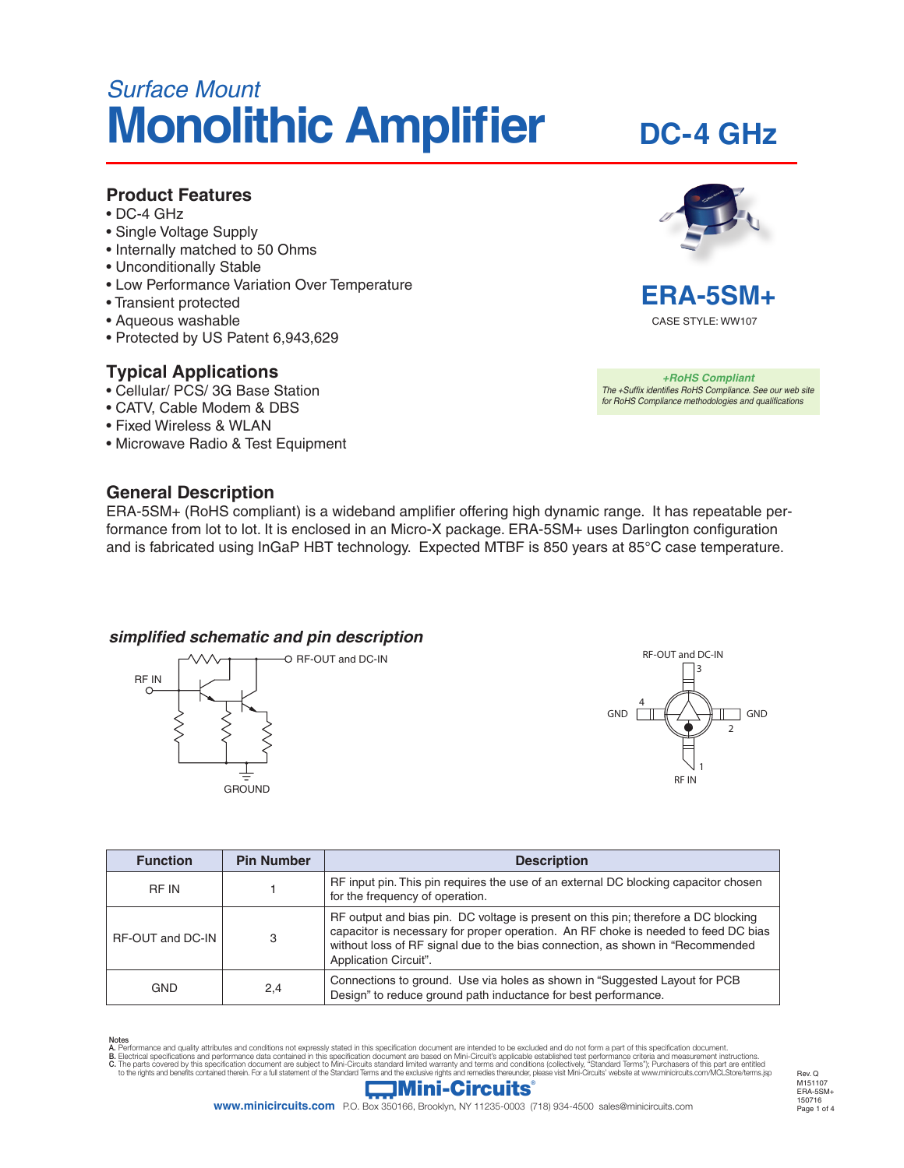# *Surface Mount* **Monolithic Amplifier**

#### **Product Features**

- DC-4 GHz
- Single Voltage Supply
- Internally matched to 50 Ohms
- Unconditionally Stable
- Low Performance Variation Over Temperature
- Transient protected
- Aqueous washable
- Protected by US Patent 6,943,629

#### **Typical Applications**

- Cellular/ PCS/ 3G Base Station
- CATV, Cable Modem & DBS
- Fixed Wireless & WLAN
- Microwave Radio & Test Equipment

#### **General Description**

ERA-5SM+ (RoHS compliant) is a wideband amplifier offering high dynamic range. It has repeatable performance from lot to lot. It is enclosed in an Micro-X package. ERA-5SM+ uses Darlington configuration and is fabricated using InGaP HBT technology. Expected MTBF is 850 years at 85°C case temperature.

#### **simplified schematic and pin description**





| <b>Function</b>   | <b>Pin Number</b> | <b>Description</b>                                                                                                                                                                                                                                                                  |  |
|-------------------|-------------------|-------------------------------------------------------------------------------------------------------------------------------------------------------------------------------------------------------------------------------------------------------------------------------------|--|
| <b>RF IN</b>      |                   | RF input pin. This pin requires the use of an external DC blocking capacitor chosen<br>for the frequency of operation.                                                                                                                                                              |  |
| RF-OUT and DC-IN  | 3                 | RF output and bias pin. DC voltage is present on this pin; therefore a DC blocking<br>capacitor is necessary for proper operation. An RF choke is needed to feed DC bias<br>without loss of RF signal due to the bias connection, as shown in "Recommended<br>Application Circuit". |  |
| <b>GND</b><br>2,4 |                   | Connections to ground. Use via holes as shown in "Suggested Layout for PCB<br>Design" to reduce ground path inductance for best performance.                                                                                                                                        |  |

Notes<br>A. Performance and quality attributes and conditions not expressly stated in this specification document are intended to be excluded and do not form a part of this specification document.<br>B. Electrical specifications



**DC-4 GHz**



*+RoHS Compliant The +Suffix identifies RoHS Compliance. See our web site for RoHS Compliance methodologies and qualifications*

Page 1 of 4 Rev. O M151107 ERA-5SM+  $-150716$ 

**www.minicircuits.com** P.O. Box 350166, Brooklyn, NY 11235-0003 (718) 934-4500 sales@minicircuits.com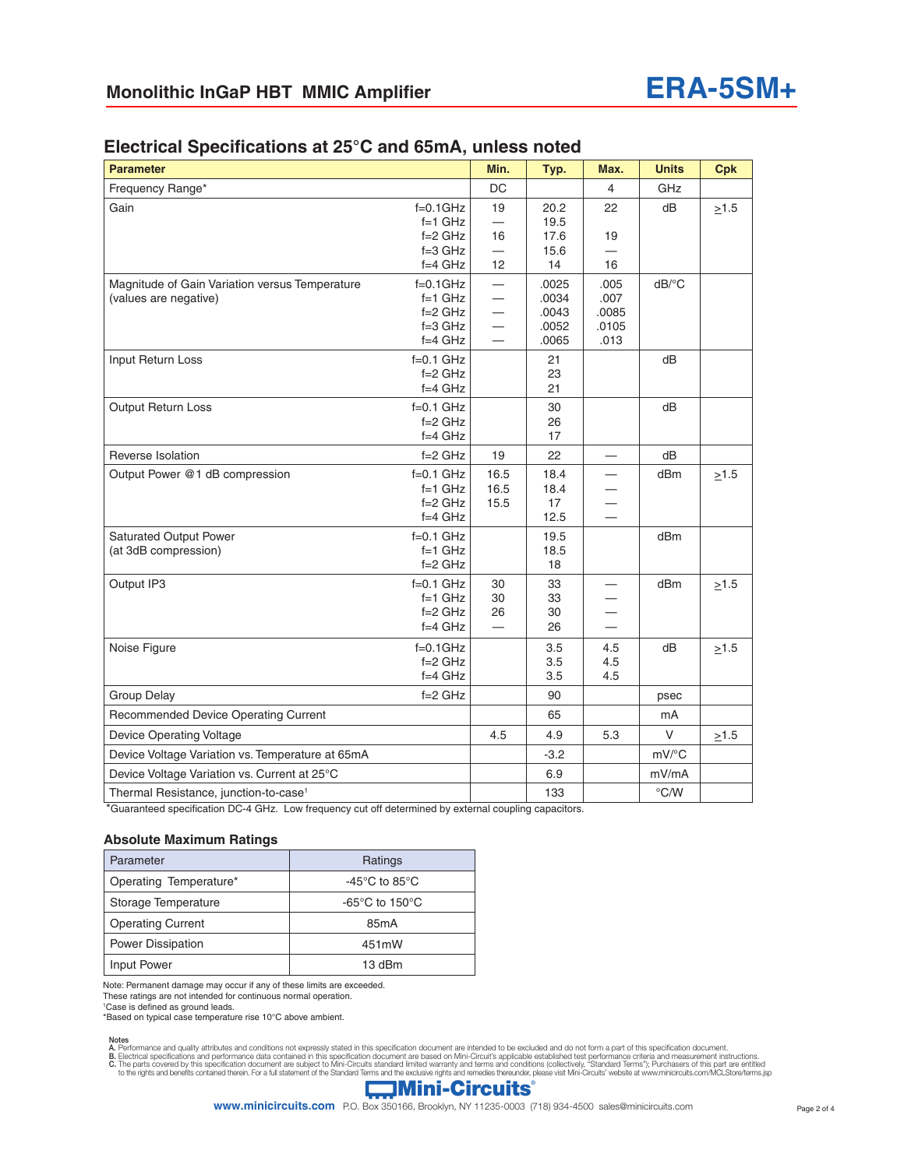| <b>Parameter</b>                                                        |                                                                     | Min.                                             | Typ.                                      | Max.                                   | <b>Units</b>          | <b>Cpk</b> |
|-------------------------------------------------------------------------|---------------------------------------------------------------------|--------------------------------------------------|-------------------------------------------|----------------------------------------|-----------------------|------------|
| Frequency Range*                                                        |                                                                     | DC                                               |                                           | 4                                      | GHz                   |            |
| Gain                                                                    | $f=0.1$ GHz<br>$f=1$ GHz                                            | 19<br>$\overline{\phantom{0}}$                   | 20.2<br>19.5                              | 22                                     | dB                    | $\geq 1.5$ |
|                                                                         | $f=2$ GHz                                                           | 16                                               | 17.6                                      | 19                                     |                       |            |
|                                                                         | $f=3$ GHz<br>$f=4$ GHz                                              | 12                                               | 15.6<br>14                                | 16                                     |                       |            |
| Magnitude of Gain Variation versus Temperature<br>(values are negative) | $f=0.1$ GHz<br>$f=1$ GHz<br>$f = 2$ GHz<br>$f = 3$ GHz<br>$f=4$ GHz | $\overline{\phantom{0}}$<br>$\equiv$<br>$\equiv$ | .0025<br>.0034<br>.0043<br>.0052<br>.0065 | .005<br>.007<br>.0085<br>.0105<br>.013 | $dB$ <sup>o</sup> $C$ |            |
| Input Return Loss                                                       | $f=0.1$ GHz<br>$f = 2$ GHz<br>$f=4$ GHz                             |                                                  | 21<br>23<br>21                            |                                        | dB                    |            |
| Output Return Loss                                                      | $f=0.1$ GHz<br>$f = 2$ GHz<br>$f=4$ GHz                             |                                                  | 30<br>26<br>17                            |                                        | dB                    |            |
| Reverse Isolation                                                       | $f=2$ GHz                                                           | 19                                               | 22                                        | $\equiv$                               | dB                    |            |
| Output Power @1 dB compression                                          | $f=0.1$ GHz<br>$f=1$ GHz<br>$f = 2$ GHz<br>$f=4$ GHz                | 16.5<br>16.5<br>15.5                             | 18.4<br>18.4<br>17<br>12.5                |                                        | dBm                   | >1.5       |
| <b>Saturated Output Power</b><br>(at 3dB compression)                   | $f=0.1$ GHz<br>$f=1$ GHz<br>$f = 2$ GHz                             |                                                  | 19.5<br>18.5<br>18                        |                                        | dBm                   |            |
| Output IP3                                                              | $f=0.1$ GHz<br>$f=1$ GHz<br>$f=2$ GHz<br>$f=4$ GHz                  | 30<br>30<br>26<br>$\equiv$                       | 33<br>33<br>30<br>26                      | $\equiv$                               | dBm                   | $\geq 1.5$ |
| Noise Figure                                                            | $f=0.1$ GHz<br>$f=2$ GHz<br>$f=4$ GHz                               |                                                  | 3.5<br>3.5<br>3.5                         | 4.5<br>4.5<br>4.5                      | dB                    | $\geq 1.5$ |
| <b>Group Delay</b>                                                      | $f = 2$ GHz                                                         |                                                  | 90                                        |                                        | psec                  |            |
| <b>Recommended Device Operating Current</b>                             |                                                                     |                                                  | 65                                        |                                        | mA                    |            |
| <b>Device Operating Voltage</b>                                         |                                                                     | 4.5                                              | 4.9                                       | 5.3                                    | V                     | $\geq$ 1.5 |
| Device Voltage Variation vs. Temperature at 65mA                        |                                                                     |                                                  | $-3.2$                                    |                                        | mV/°C                 |            |
| Device Voltage Variation vs. Current at 25°C                            |                                                                     |                                                  | 6.9                                       |                                        | mV/mA                 |            |
| Thermal Resistance, junction-to-case <sup>1</sup>                       |                                                                     |                                                  | 133                                       |                                        | $\degree$ C/W         |            |

#### **Electrical Specifications at 25°C and 65mA, unless noted**

\*Guaranteed specification DC-4 GHz. Low frequency cut off determined by external coupling capacitors.

#### **Absolute Maximum Ratings**

| Parameter                | Ratings                                             |  |  |
|--------------------------|-----------------------------------------------------|--|--|
| Operating Temperature*   | -45 $\mathrm{^{\circ}C}$ to 85 $\mathrm{^{\circ}C}$ |  |  |
| Storage Temperature      | -65 $\degree$ C to 150 $\degree$ C                  |  |  |
| <b>Operating Current</b> | 85 <sub>m</sub> A                                   |  |  |
| <b>Power Dissipation</b> | 451mW                                               |  |  |
| Input Power              | 13 dBm                                              |  |  |

Note: Permanent damage may occur if any of these limits are exceeded.

These ratings are not intended for continuous normal operation.

1 Case is defined as ground leads.

\*Based on typical case temperature rise 10°C above ambient.

Notes<br>A. Performance and quality attributes and conditions not expressly stated in this specification document are intended to be excluded and do not form a part of this specification document.<br>B. Electrical specifications

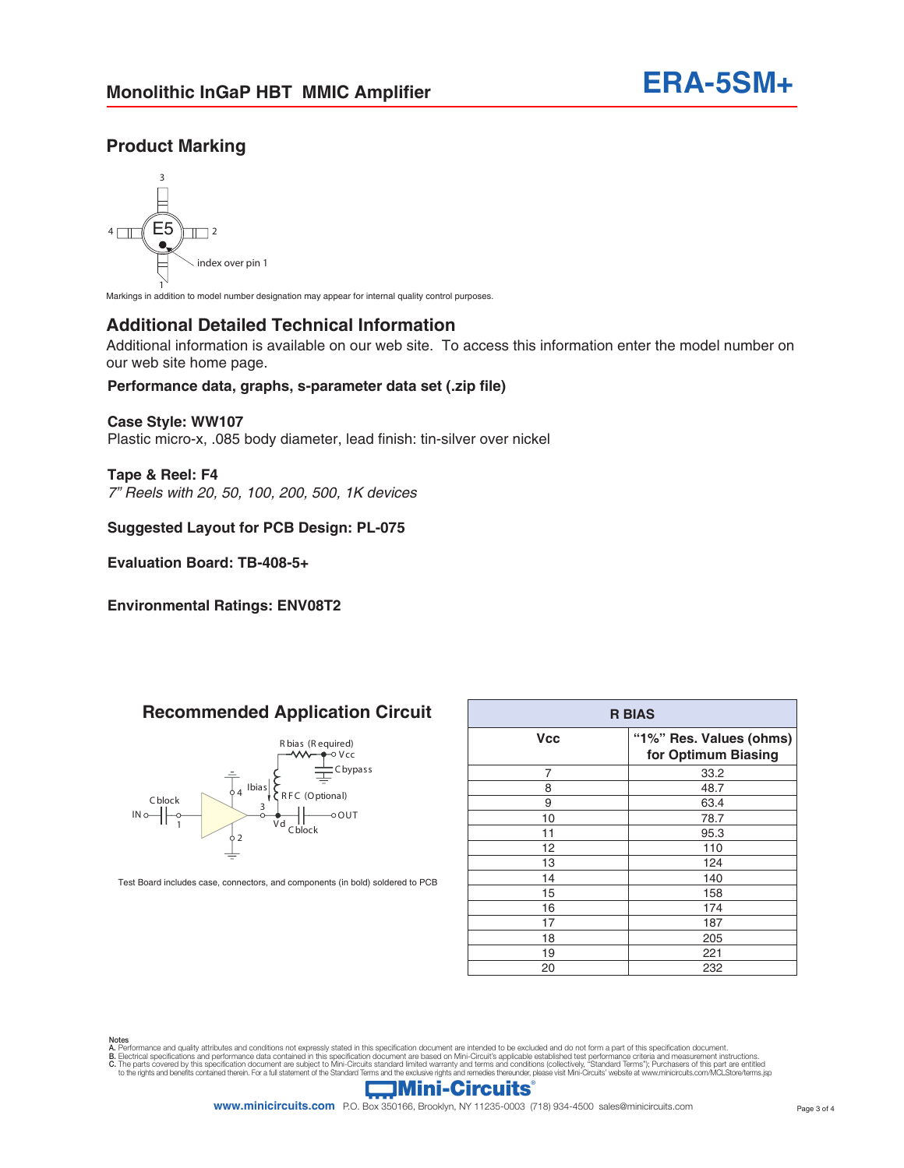### **Product Marking**



1 Markings in addition to model number designation may appear for internal quality control purposes.

#### **Additional Detailed Technical Information**

Additional information is available on our web site. To access this information enter the model number on our web site home page.

#### **Performance data, graphs, s-parameter data set (.zip file)**

#### **Case Style: WW107**

Plastic micro-x, .085 body diameter, lead finish: tin-silver over nickel

**Tape & Reel: F4** *7" Reels with 20, 50, 100, 200, 500, 1K devices*

**Suggested Layout for PCB Design: PL-075**

**Evaluation Board: TB-408-5+** 

**Environmental Ratings: ENV08T2**

# **Recommended Application Circuit**



Test Board includes case, connectors, and components (in bold) soldered to PCB

| <b>R BIAS</b> |                                                |  |  |  |
|---------------|------------------------------------------------|--|--|--|
| <b>Vcc</b>    | "1%" Res. Values (ohms)<br>for Optimum Biasing |  |  |  |
| 7             | 33.2                                           |  |  |  |
| 8             | 48.7                                           |  |  |  |
| 9             | 63.4                                           |  |  |  |
| 10            | 78.7                                           |  |  |  |
| 11            | 95.3                                           |  |  |  |
| 12            | 110                                            |  |  |  |
| 13            | 124                                            |  |  |  |
| 14            | 140                                            |  |  |  |
| 15            | 158                                            |  |  |  |
| 16            | 174                                            |  |  |  |
| 17            | 187                                            |  |  |  |
| 18            | 205                                            |  |  |  |
| 19            | 221                                            |  |  |  |
| 20            | 232                                            |  |  |  |

Notes<br>A. Performance and quality attributes and conditions not expressly stated in this specification document are intended to be excluded and do not form a part of this specification document.<br>B. Electrical specifications



**www.minicircuits.com** P.O. Box 350166, Brooklyn, NY 11235-0003 (718) 934-4500 sales@minicircuits.com Page 3 of 4